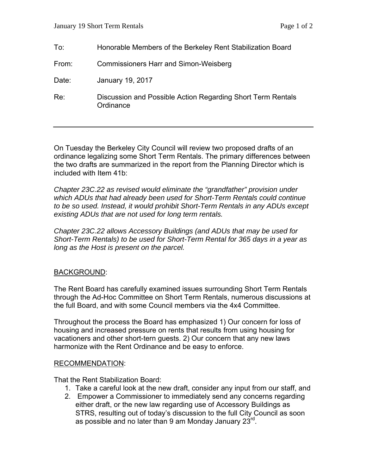| To:   | Honorable Members of the Berkeley Rent Stabilization Board               |
|-------|--------------------------------------------------------------------------|
| From: | <b>Commissioners Harr and Simon-Weisberg</b>                             |
| Date: | January 19, 2017                                                         |
| Re:   | Discussion and Possible Action Regarding Short Term Rentals<br>Ordinance |

On Tuesday the Berkeley City Council will review two proposed drafts of an ordinance legalizing some Short Term Rentals. The primary differences between the two drafts are summarized in the report from the Planning Director which is included with Item 41b:

*Chapter 23C.22 as revised would eliminate the "grandfather" provision under which ADUs that had already been used for Short-Term Rentals could continue to be so used. Instead, it would prohibit Short-Term Rentals in any ADUs except existing ADUs that are not used for long term rentals.* 

*Chapter 23C.22 allows Accessory Buildings (and ADUs that may be used for Short-Term Rentals) to be used for Short-Term Rental for 365 days in a year as long as the Host is present on the parcel.* 

## BACKGROUND:

The Rent Board has carefully examined issues surrounding Short Term Rentals through the Ad-Hoc Committee on Short Term Rentals, numerous discussions at the full Board, and with some Council members via the 4x4 Committee.

Throughout the process the Board has emphasized 1) Our concern for loss of housing and increased pressure on rents that results from using housing for vacationers and other short-tern guests. 2) Our concern that any new laws harmonize with the Rent Ordinance and be easy to enforce.

## RECOMMENDATION:

That the Rent Stabilization Board:

- 1. Take a careful look at the new draft, consider any input from our staff, and
- 2. Empower a Commissioner to immediately send any concerns regarding either draft, or the new law regarding use of Accessory Buildings as STRS, resulting out of today's discussion to the full City Council as soon as possible and no later than 9 am Monday January  $23^{\text{rd}}$ .